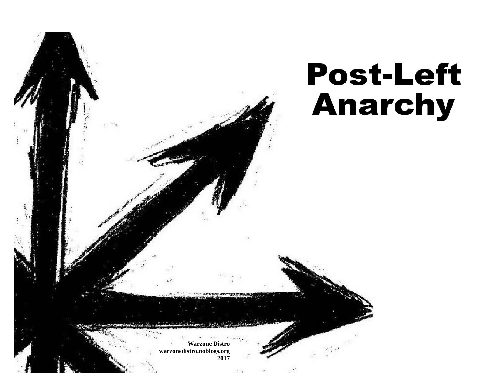